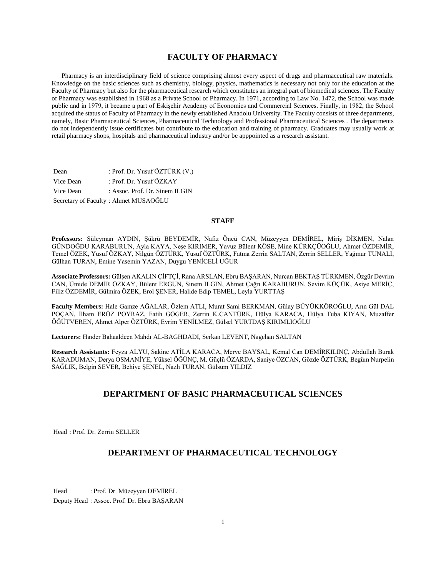# **FACULTY OF PHARMACY**

 Pharmacy is an interdisciplinary field of science comprising almost every aspect of drugs and pharmaceutical raw materials. Knowledge on the basic sciences such as chemistry, biology, physics, mathematics is necessary not only for the education at the Faculty of Pharmacy but also for the pharmaceutical research which constitutes an integral part of biomedical sciences. The Faculty of Pharmacy was established in 1968 as a Private School of Pharmacy. In 1971, according to Law No. 1472, the School was made public and in 1979, it became a part of Eskişehir Academy of Economics and Commercial Sciences. Finally, in 1982, the School acquired the status of Faculty of Pharmacy in the newly established Anadolu University. The Faculty consists of three departments, namely, Basic Pharmaceutical Sciences, Pharmaceutical Technology and Professional Pharmaceutical Sciences . The departments do not independently issue certificates but contribute to the education and training of pharmacy. Graduates may usually work at retail pharmacy shops, hospitals and pharmaceutical industry and/or be apppointed as a research assistant.

| Dean      | : Prof. Dr. Yusuf ÖZTÜRK (V.)        |
|-----------|--------------------------------------|
| Vice Dean | : Prof. Dr. Yusuf ÖZKAY              |
| Vice Dean | : Assoc. Prof. Dr. Sinem ILGIN       |
|           | Secretary of Faculty: Ahmet MUSAOĞLU |

# **STAFF**

**Professors:** Süleyman AYDIN, Şükrü BEYDEMİR, Nafiz Öncü CAN, Müzeyyen DEMİREL, Miriş DİKMEN, Nalan GÜNDOĞDU KARABURUN, Ayla KAYA, Neşe KIRIMER, Yavuz Bülent KÖSE, Mine KÜRKÇÜOĞLU, Ahmet ÖZDEMİR, Temel ÖZEK, Yusuf ÖZKAY, Nilgün ÖZTÜRK, Yusuf ÖZTÜRK, Fatma Zerrin SALTAN, Zerrin SELLER, Yağmur TUNALI, Gülhan TURAN, Emine Yasemin YAZAN, Duygu YENİCELİ UĞUR

**Associate Professors:** Gülşen AKALIN ÇİFTÇİ, Rana ARSLAN, Ebru BAŞARAN, Nurcan BEKTAŞ TÜRKMEN, Özgür Devrim CAN, Ümide DEMİR ÖZKAY, Bülent ERGUN, Sinem ILGIN, Ahmet Çağrı KARABURUN, Sevim KÜÇÜK, Asiye MERİÇ, Filiz ÖZDEMİR, Gülmira ÖZEK, Erol ŞENER, Halide Edip TEMEL, Leyla YURTTAŞ

**Faculty Members:** Hale Gamze AĞALAR, Özlem ATLI, Murat Sami BERKMAN, Gülay BÜYÜKKÖROĞLU, Arın Gül DAL POÇAN, İlham ERÖZ POYRAZ, Fatih GÖGER, Zerrin K.CANTÜRK, Hülya KARACA, Hülya Tuba KIYAN, Muzaffer ÖĞÜTVEREN, Ahmet Alper ÖZTÜRK, Evrim YENİLMEZ, Gülsel YURTDAŞ KIRIMLIOĞLU

**Lecturers:** Haıder Bahaaldeen Mahdı AL-BAGHDADI, Serkan LEVENT, Nagehan SALTAN

**Research Assistants:** Feyza ALYU, Sakine ATİLA KARACA, Merve BAYSAL, Kemal Can DEMİRKILINÇ, Abdullah Burak KARADUMAN, Derya OSMANİYE, Yüksel ÖĞÜNÇ, M. Güçlü ÖZARDA, Saniye ÖZCAN, Gözde ÖZTÜRK, Begüm Nurpelin SAĞLIK, Belgin SEVER, Behiye ŞENEL, Nazlı TURAN, Gülsüm YILDIZ

# **DEPARTMENT OF BASIC PHARMACEUTICAL SCIENCES**

Head : Prof. Dr. Zerrin SELLER

# **DEPARTMENT OF PHARMACEUTICAL TECHNOLOGY**

Head : Prof. Dr. Müzeyyen DEMİREL Deputy Head : Assoc. Prof. Dr. Ebru BAŞARAN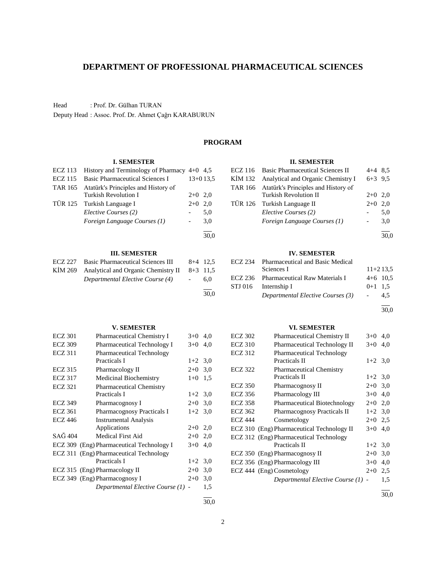| <b>ECZ 322</b> | <b>Pharmaceutical Chemistry</b>                                           |           |                |
|----------------|---------------------------------------------------------------------------|-----------|----------------|
|                | Practicals II                                                             | $1+2$ 3,0 |                |
| ECZ 350        | Pharmacognosy II                                                          | $2+0$ 3,0 |                |
| ECZ 356        | Pharmacology III                                                          | $3+0$ 4,0 |                |
| <b>ECZ 358</b> | Pharmaceutical Biotechnology                                              | $2+0$ 2,0 |                |
| <b>ECZ 362</b> | <b>Pharmacognosy Practicals II</b>                                        | $1+2$ 3,0 |                |
| <b>ECZ 444</b> | Cosmetology                                                               | $2+0$ 2.5 |                |
|                | ECZ 310 (Eng) Pharmaceutical Technology II                                | $3+0$ 4,0 |                |
|                | ECZ 312 (Eng) Pharmaceutical Technology                                   |           |                |
|                | Practicals II                                                             | $1+2$ 3,0 |                |
|                | ECZ 350 (Eng) Pharmacognosy II                                            | $2+0$     | 3,0            |
|                | ECZ 356 (Eng) Pharmacology III                                            | $3+0$ 4,0 |                |
|                | ECZ 444 (Eng) Cosmetology                                                 | $2+0$     | 2,5            |
|                | $D_{\text{max}}$ and an extended $E1$ and $E2$ and $E3$ and $E4$ and $E5$ |           | 1 <sub>c</sub> |

*Departmental Elective Course (1)* - 1,5

l 30,0

# **DEPARTMENT OF PROFESSIONAL PHARMACEUTICAL SCIENCES**

Head : Prof. Dr. Gülhan TURAN

Deputy Head : Assoc. Prof. Dr. Ahmet Çağrı KARABURUN

# **PROGRAM**

# **I. SEMESTER**

| <b>ECZ 113</b> | History and Terminology of Pharmacy $4+0$ 4,5 |       |            |
|----------------|-----------------------------------------------|-------|------------|
| <b>ECZ 115</b> | <b>Basic Pharmaceutical Sciences I</b>        |       | $13+013.5$ |
| <b>TAR 165</b> | Atatürk's Principles and History of           |       |            |
|                | Turkish Revolution I                          | $2+0$ | 2.0        |
| TÜR 125        | Turkish Language I                            | $2+0$ | 2,0        |
|                | Elective Courses (2)                          |       | 5,0        |
|                | Foreign Language Courses (1)                  |       | 3,0        |
|                |                                               |       | 30.0       |
|                | <b>III. SEMESTER</b>                          |       |            |
| <b>ECZ 227</b> | <b>Basic Pharmaceutical Sciences III</b>      | 8+4   | 12.5       |
| KIM 269        | Analytical and Organic Chemistry II           | $8+3$ | 11.5       |
|                |                                               |       |            |

| ECZ 227 Basic Pharmaceutical Sciences III   |            | $8+4$ 12.5 |
|---------------------------------------------|------------|------------|
| KIM 269 Analytical and Organic Chemistry II | $8+3$ 11.5 |            |
| Departmental Elective Course (4)            | $\sim$     | 6.0        |
|                                             |            | 30.0       |

#### **V. SEMESTER**

| ECZ 301        | <b>Pharmaceutical Chemistry I</b>         | $3+0$     | 4,0 |
|----------------|-------------------------------------------|-----------|-----|
| <b>ECZ 309</b> | Pharmaceutical Technology I               | $3+0$     | 4,0 |
| <b>ECZ 311</b> | <b>Pharmaceutical Technology</b>          |           |     |
|                | Practicals I                              | $1+2$ 3.0 |     |
| <b>ECZ 315</b> | Pharmacology II                           | $2+0$     | 3,0 |
| <b>ECZ 317</b> | Medicinal Biochemistry                    | $1+0$     | 1.5 |
| <b>ECZ 321</b> | <b>Pharmaceutical Chemistry</b>           |           |     |
|                | Practicals I                              | $1+2$ 3.0 |     |
| <b>ECZ 349</b> | Pharmacognosy I                           | $2+0$ 3,0 |     |
| <b>ECZ</b> 361 | <b>Pharmacognosy Practicals I</b>         | $1+2$ 3.0 |     |
| <b>ECZ 446</b> | <b>Instrumental Analysis</b>              |           |     |
|                | Applications                              | $2+0$     | 2,0 |
| SAĞ 404        | Medical First Aid                         | $2+0$     | 2,0 |
|                | ECZ 309 (Eng) Pharmaceutical Technology I | $3+0$     | 4,0 |
|                | ECZ 311 (Eng) Pharmaceutical Technology   |           |     |
|                | Practicals I                              | $1+2$ 3,0 |     |
|                | ECZ 315 (Eng) Pharmacology II             | $2+0$     | 3,0 |
|                | ECZ 349 (Eng) Pharmacognosy I             | $2+0$     | 3,0 |
|                | Departmental Elective Course (1) -        |           | 1,5 |
|                |                                           |           |     |

30,0

# **II. SEMESTER**

| ECZ 116 Basic Pharmaceutical Sciences II    | $4+4$ 8.5 |     |
|---------------------------------------------|-----------|-----|
| KIM 132 Analytical and Organic Chemistry I  | $6+3$ 9.5 |     |
| TAR 166 Atatürk's Principles and History of |           |     |
| <b>Turkish Revolution II</b>                | $2+0$ 2.0 |     |
| TÜR 126 Turkish Language II                 | $2+0$     | 2.0 |
| Elective Courses (2)                        |           | 5,0 |
| Foreign Language Courses (1)                | $\sim$    | 3,0 |
|                                             |           |     |

30,0

# **IV. SEMESTER**

| ECZ 234 | Pharmaceutical and Basic Medical       |           |            |
|---------|----------------------------------------|-----------|------------|
|         | Sciences I                             |           | $11+213.5$ |
|         | ECZ 236 Pharmaceutical Raw Materials I |           | $4+6$ 10.5 |
|         | STJ 016 Internship I                   | $0+1$ 1.5 |            |
|         | Departmental Elective Courses (3)      |           | 4.5        |

# **VI. SEMESTER** ECZ 302 Pharmaceutical Chemistry II  $3+0$  4,0

ECZ 310 Pharmaceutical Technology II 3+0 4,0<br>ECZ 312 Pharmaceutical Technology Pharmaceutical Technology

Practicals II  $1+2$  3,0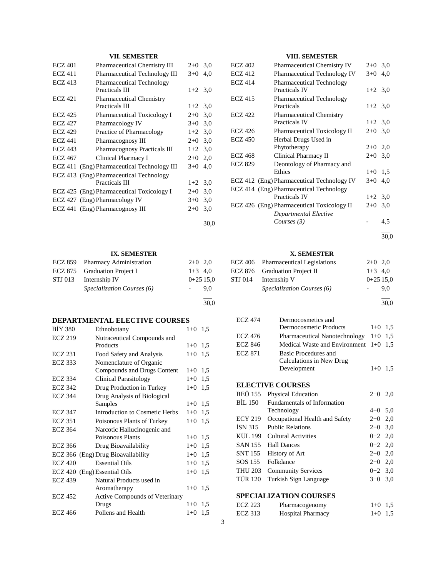# **VII. SEMESTER**

| <b>ECZ 401</b> | Pharmaceutical Chemistry III                       | $2+0$     | 3,0 |
|----------------|----------------------------------------------------|-----------|-----|
| <b>ECZ 411</b> | <b>Pharmaceutical Technology III</b>               | $3+0$     | 4,0 |
| <b>ECZ 413</b> | <b>Pharmaceutical Technology</b><br>Practicals III | $1+2$ 3.0 |     |
| <b>ECZ 421</b> | <b>Pharmaceutical Chemistry</b>                    |           |     |
|                | Practicals III                                     | $1+2$ 3.0 |     |
| ECZ 425        | Pharmaceutical Toxicology I                        | $2+0$     | 3,0 |
| <b>ECZ 427</b> | Pharmacology IV                                    | $3+0$     | 3,0 |
| <b>ECZ 429</b> | Practice of Pharmacology                           | $1+2$ 3.0 |     |
| <b>ECZ 441</b> | Pharmacognosy III                                  | $2+0$     | 3,0 |
| <b>ECZ 443</b> | <b>Pharmacognosy Practicals III</b>                | $1+2$     | 3,0 |
| <b>ECZ 467</b> | Clinical Pharmacy I                                | $2+0$     | 2,0 |
|                | ECZ 411 (Eng) Pharmaceutical Technology III        | $3+0$     | 4,0 |
|                | ECZ 413 (Eng) Pharmaceutical Technology            |           |     |
|                | <b>Practicals III</b>                              | $1+2$ 3,0 |     |
|                | ECZ 425 (Eng) Pharmaceutical Toxicology I          | $2+0$     | 3,0 |
|                | ECZ 427 (Eng) Pharmacology IV                      | $3+0$     | 3,0 |
|                | ECZ 441 (Eng) Pharmacognosy III                    | $2+0$     | 3,0 |
|                |                                                    |           |     |

#### **IX. SEMESTER**

|         | ECZ 859 Pharmacy Administration | $2+0$ 2.0  |
|---------|---------------------------------|------------|
|         | ECZ 875 Graduation Project I    | $1+3$ 4.0  |
| STJ 013 | Internship IV                   | $0+2515.0$ |
|         | Specialization Courses (6)      | 9.0        |
|         |                                 |            |

# **DEPARTMENTAL ELECTIVE COURSES**

| <b>BIY 380</b> | Ethnobotany                           | $1 + 0$ | 1,5 |
|----------------|---------------------------------------|---------|-----|
| <b>ECZ 219</b> | Nutraceutical Compounds and           |         |     |
|                | Products                              | $1 + 0$ | 1,5 |
| <b>ECZ 231</b> | Food Safety and Analysis              | $1 + 0$ | 1,5 |
| <b>ECZ 333</b> | Nomenclature of Organic               |         |     |
|                | Compounds and Drugs Content           | $1 + 0$ | 1,5 |
| <b>ECZ 334</b> | <b>Clinical Parasitology</b>          | $1 + 0$ | 1,5 |
| <b>ECZ 342</b> | Drug Production in Turkey             | $1 + 0$ | 1,5 |
| <b>ECZ 344</b> | Drug Analysis of Biological           |         |     |
|                | Samples                               | $1+0$   | 1,5 |
| <b>ECZ 347</b> | Introduction to Cosmetic Herbs        | $1+0$   | 1,5 |
| <b>ECZ 351</b> | Poisonous Plants of Turkey            | $1 + 0$ | 1,5 |
| <b>ECZ 364</b> | Narcotic Hallucinogenic and           |         |     |
|                | Poisonous Plants                      | $1+0$   | 1,5 |
| <b>ECZ 366</b> | Drug Bioavailability                  | $1+0$   | 1,5 |
|                | ECZ 366 (Eng) Drug Bioavailability    | $1 + 0$ | 1,5 |
| <b>ECZ 420</b> | <b>Essential Oils</b>                 | $1 + 0$ | 1,5 |
|                | ECZ 420 (Eng) Essential Oils          | $1 + 0$ | 1,5 |
| <b>ECZ 439</b> | Natural Products used in              |         |     |
|                | Aromatherapy                          | $1 + 0$ | 1,5 |
| <b>ECZ 452</b> | <b>Active Compounds of Veterinary</b> |         |     |
|                | Drugs                                 | $1 + 0$ | 1,5 |
| <b>ECZ 466</b> | Pollens and Health                    | $1 + 0$ | 1,5 |

# **VIII. SEMESTER**

| <b>ECZ 402</b> | <b>Pharmaceutical Chemistry IV</b>                       | $2+0$     | 3,0 |
|----------------|----------------------------------------------------------|-----------|-----|
| <b>ECZ 412</b> | <b>Pharmaceutical Technology IV</b>                      | $3+0$     | 4.0 |
| <b>ECZ 414</b> | <b>Pharmaceutical Technology</b><br><b>Practicals IV</b> | $1+2$ 3.0 |     |
| <b>ECZ 415</b> | <b>Pharmaceutical Technology</b><br>Practicals           | $1+2$ 3,0 |     |
| <b>ECZ 422</b> | <b>Pharmaceutical Chemistry</b>                          |           |     |
|                | <b>Practicals IV</b>                                     | $1+2$ 3,0 |     |
| <b>ECZ 426</b> | Pharmaceutical Toxicology II                             | $2+0$     | 3,0 |
| <b>ECZ 450</b> | Herbal Drugs Used in                                     |           |     |
|                | Phytotherapy                                             | $2+0$     | 2,0 |
| <b>ECZ 468</b> | Clinical Pharmacy II                                     | $2+0$     | 3,0 |
| <b>ECZ 829</b> | Deontology of Pharmacy and<br>Ethics                     | $1 + 0$   | 1,5 |
|                | ECZ 412 (Eng) Pharmaceutical Technology IV               | $3+0$     | 4,0 |
|                | ECZ 414 (Eng) Pharmaceutical Technology                  |           |     |
|                | <b>Practicals IV</b>                                     | $1+2$     | 3,0 |
|                | ECZ 426 (Eng) Pharmaceutical Toxicology II               | $2+0$     | 3,0 |
|                | Departmental Elective                                    |           |     |
|                | Courses $(3)$                                            |           | 4,5 |
|                |                                                          |           |     |

30,0

### **X. SEMESTER**

| ECZ 406 Pharmaceutical Legislations | $2+0$ 2.0  |     |
|-------------------------------------|------------|-----|
| ECZ 876 Graduation Project II       | $1+3$ 4.0  |     |
| STJ 014 Internship V                | $0+2515.0$ |     |
| <i>Specialization Courses</i> (6)   |            | 9.0 |
|                                     |            |     |

30,0

| <b>ECZ 474</b> | Dermocosmetics and                      |           |  |
|----------------|-----------------------------------------|-----------|--|
|                | Dermocosmetic Products                  | $1+0$ 1.5 |  |
| ECZ 476        | Pharmaceutical Nanotechnology $1+0$ 1,5 |           |  |
| <b>ECZ 846</b> | Medical Waste and Environment $1+0$ 1,5 |           |  |
| <b>ECZ 871</b> | Basic Procedures and                    |           |  |
|                | Calculations in New Drug                |           |  |
|                | Development                             | $1+0$ 1.5 |  |

# **ELECTIVE COURSES**

| <b>BEÖ</b> 155                | <b>Physical Education</b>          | $2+0$     | 2,0 |  |
|-------------------------------|------------------------------------|-----------|-----|--|
| BIL 150                       | <b>Fundamentals of Information</b> |           |     |  |
|                               | Technology                         | $4+0$ 5.0 |     |  |
| <b>ECY 219</b>                | Occupational Health and Safety     | $2+0$ 2,0 |     |  |
| ISN 315                       | <b>Public Relations</b>            | $2+0$ 3,0 |     |  |
| KÜL 199                       | <b>Cultural Activities</b>         | $0+2$ 2,0 |     |  |
| SAN 155                       | <b>Hall Dances</b>                 | $0+2$ 2,0 |     |  |
| SNT 155                       | History of Art                     | $2+0$ 2,0 |     |  |
| SOS 155                       | Folkdance                          | $2+0$ 2,0 |     |  |
| <b>THU 203</b>                | <b>Community Services</b>          | $0+2$ 3.0 |     |  |
| <b>TÜR 120</b>                | Turkish Sign Language              | $3+0$     | 3,0 |  |
| <b>SPECIALIZATION COURSES</b> |                                    |           |     |  |
|                               |                                    |           |     |  |

| ECZ 223 | Pharmacogenomy           | $1+0$ 1.5 |  |
|---------|--------------------------|-----------|--|
| ECZ 313 | <b>Hospital Pharmacy</b> | $1+0$ 1.5 |  |

30,0

30,0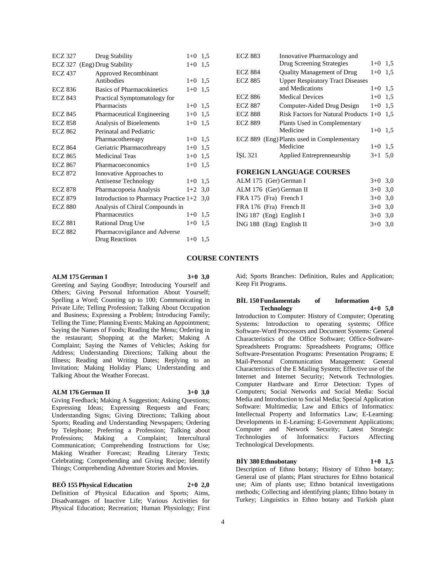| <b>ECZ 327</b> | Drug Stability                              | $1+0$   | 1,5 |
|----------------|---------------------------------------------|---------|-----|
|                | ECZ 327 (Eng) Drug Stability                | $1+0$   | 1,5 |
| <b>ECZ 437</b> | Approved Recombinant                        |         |     |
|                | Antibodies                                  | $1+0$   | 1,5 |
| <b>ECZ 836</b> | Basics of Pharmacokinetics                  | $1+0$   | 1,5 |
| <b>ECZ 843</b> | Practical Symptomatology for                |         |     |
|                | Pharmacists                                 | $1+0$   | 1,5 |
| <b>ECZ 845</b> | Pharmaceutical Engineering                  | $1+0$   | 1,5 |
| <b>ECZ 858</b> | <b>Analysis of Bioelements</b>              | $1+0$   | 1,5 |
| <b>ECZ 862</b> | Perinatal and Pediatric                     |         |     |
|                | Pharmacothereapy                            | $1 + 0$ | 1,5 |
| <b>ECZ 864</b> | Geriatric Pharmacothreapy                   | $1+0$   | 1,5 |
| <b>ECZ 865</b> | <b>Medicinal Teas</b>                       | $1+0$   | 1,5 |
| <b>ECZ 867</b> | Pharmacoeconomics                           | $1+0$   | 1,5 |
| <b>ECZ 872</b> | Innovative Approaches to                    |         |     |
|                | Antisense Technology                        | $1 + 0$ | 1,5 |
| <b>ECZ 878</b> | Pharmacopoeia Analysis                      | $1+2$   | 3,0 |
| <b>ECZ 879</b> | Introduction to Pharmacy Practice $1+2$ 3,0 |         |     |
| <b>ECZ 880</b> | Analysis of Chiral Compounds in             |         |     |
|                | Pharmaceutics                               | $1+0$   | 1,5 |
| <b>ECZ 881</b> | <b>Rational Drug Use</b>                    | $1 + 0$ | 1,5 |
| <b>ECZ 882</b> | Pharmacovigilance and Adverse               |         |     |
|                | Drug Reactions                              | $1+0$   | 1,5 |
|                |                                             |         |     |

|                                 | <b>ECZ 883</b>             | Innovative Pharmacology and                |           |     |  |
|---------------------------------|----------------------------|--------------------------------------------|-----------|-----|--|
|                                 |                            | Drug Screening Strategies                  | $1 + 0$   | 1,5 |  |
|                                 | <b>ECZ 884</b>             | Quality Management of Drug                 | $1+0$     | 1,5 |  |
|                                 | <b>ECZ 885</b>             | <b>Upper Respiratory Tract Diseases</b>    |           |     |  |
|                                 |                            | and Medications                            | $1+0$     | 1,5 |  |
|                                 | <b>ECZ 886</b>             | <b>Medical Devices</b>                     | $1+0$     | 1,5 |  |
|                                 | <b>ECZ 887</b>             | Computer-Aided Drug Design                 | $1+0$     | 1,5 |  |
|                                 | <b>ECZ 888</b>             | Risk Factors for Natural Products $1+0$    |           | 1,5 |  |
|                                 | <b>ECZ 889</b>             | Plants Used in Complementary               |           |     |  |
|                                 |                            | Medicine                                   | $1+0$     | 1,5 |  |
|                                 |                            | ECZ 889 (Eng) Plants used in Complementary |           |     |  |
|                                 |                            | Medicine                                   | $1+0$ 1,5 |     |  |
|                                 | İŞL 321                    | Applied Entreprenneurship                  | $3+1$ 5,0 |     |  |
|                                 |                            |                                            |           |     |  |
| <b>FOREIGN LANGUAGE COURSES</b> |                            |                                            |           |     |  |
|                                 | ALM 175 (Ger) German I     |                                            | $3+0$ 3,0 |     |  |
|                                 | ALM 176 (Ger) German II    |                                            | $3+0$     | 3,0 |  |
|                                 | FRA 175 (Fra) French I     |                                            | $3+0$     | 3,0 |  |
|                                 | FRA 176 (Fra) French II    |                                            | $3+0$     | 3,0 |  |
|                                 | $ING 187$ (Eng) English I  |                                            | $3+0$     | 3,0 |  |
|                                 | $ING 188$ (Eng) English II |                                            | $3+0$     | 3,0 |  |

#### **COURSE CONTENTS**

#### **ALM 175 German I 3+0 3,0**

Greeting and Saying Goodbye; Introducing Yourself and Others; Giving Personal Information About Yourself; Spelling a Word; Counting up to 100; Communicating in Private Life; Telling Profession; Talking About Occupation and Business; Expressing a Problem; Introducing Family; Telling the Time; Planning Events; Making an Appointment; Saying the Names of Foods; Reading the Menu; Ordering in the restaurant; Shopping at the Market; Making A Complaint; Saying the Names of Vehicles; Asking for Address; Understanding Directions; Talking about the Illness; Reading and Writing Dates; Replying to an Invitation; Making Holiday Plans; Understanding and Talking About the Weather Forecast.

#### **ALM 176 German II 3+0 3,0**

Giving Feedback; Making A Suggestion; Asking Questions; Expressing Ideas; Expressing Requests and Fears; Understanding Signs; Giving Directions; Talking about Sports; Reading and Understanding Newspapers; Ordering by Telephone; Preferring a Profession; Talking about Professions; Making a Complaint; Intercultural Communication; Comprehending Instructions for Use; Making Weather Forecast; Reading Literary Texts; Celebrating; Comprehending and Giving Recipe; Identify Things; Comprehending Adventure Stories and Movies.

#### **BEÖ 155 Physical Education 2+0 2,0**

Definition of Physical Education and Sports; Aims, Disadvantages of Inactive Life; Various Activities for Physical Education; Recreation; Human Physiology; First

Aid; Sports Branches: Definition, Rules and Application; Keep Fit Programs.

#### **BİL 150 Fundamentals of Information Technology 4+0 5,0**

Introduction to Computer: History of Computer; Operating Systems: Introduction to operating systems; Office Software-Word Processors and Document Systems: General Characteristics of the Office Software; Office-Software-Spreadsheets Programs: Spreadsheets Programs; Office Software-Presentation Programs: Presentation Programs; E Mail-Personal Communication Management: General Characteristics of the E Mailing System; Effective use of the Internet and Internet Security; Network Technologies. Computer Hardware and Error Detection: Types of Computers; Social Networks and Social Media: Social Media and Introduction to Social Media; Special Application Software: Multimedia; Law and Ethics of Informatics: Intellectual Property and Informatics Law; E-Learning: Developments in E-Learning; E-Government Applications; Computer and Network Security; Latest Strategic Technologies of Informatics: Factors Affecting Technological Developments.

#### **BİY 380 Ethnobotany 1+0 1,5**

Description of Ethno botany; History of Ethno botany; General use of plants; Plant structures for Ethno botanical use; Aim of plants use; Ethno botanical investigations methods; Collecting and identifying plants; Ethno botany in Turkey; Linguistics in Ethno botany and Turkish plant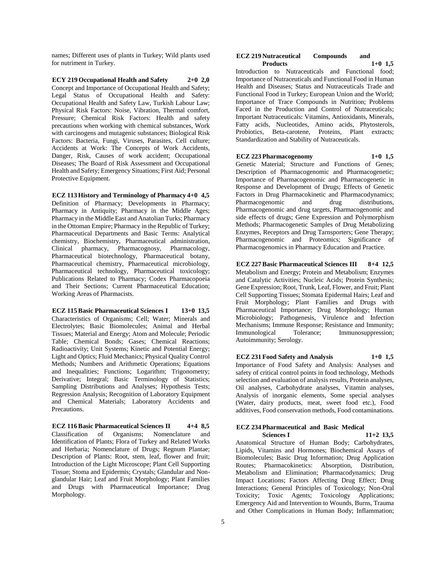names; Different uses of plants in Turkey; Wild plants used for nutriment in Turkey.

**ECY 219 Occupational Health and Safety 2+0 2,0** Concept and Importance of Occupational Health and Safety; Legal Status of Occupational Health and Safety: Occupational Health and Safety Law, Turkish Labour Law; Physical Risk Factors: Noise, Vibration, Thermal comfort, Pressure; Chemical Risk Factors: Health and safety precautions when working with chemical substances, Work with carcinogens and mutagenic substances; Biological Risk Factors: Bacteria, Fungi, Viruses, Parasites, Cell culture; Accidents at Work: The Concepts of Work Accidents, Danger, Risk, Causes of work accident; Occupational Diseases; The Board of Risk Assessment and Occupational Health and Safety; Emergency Situations; First Aid; Personal Protective Equipment.

**ECZ 113 History and Terminology of Pharmacy 4+0 4,5** Definition of Pharmacy; Developments in Pharmacy; Pharmacy in Antiquity; Pharmacy in the Middle Ages; Pharmacy in the Middle East and Anatolian Turks; Pharmacy in the Ottoman Empire; Pharmacy in the Republic of Turkey; Pharmaceutical Departments and Basic Terms: Analytical chemistry, Biochemistry, Pharmaceutical administration, Clinical pharmacy, Pharmacognosy, Pharmacology, Clinical pharmacy, Pharmacognosy, Pharmaceutical biotechnology, Pharmaceutical botany, Pharmaceutical chemistry, Pharmaceutical microbiology, Pharmaceutical technology, Pharmaceutical toxicology; Publications Related to Pharmacy; Codex Pharmacopoeia and Their Sections; Current Pharmaceutical Education; Working Areas of Pharmacists.

**ECZ 115 Basic Pharmaceutical Sciences I 13+0 13,5** Characteristics of Organisms; Cell; Water; Minerals and Electrolytes; Basic Biomolecules; Animal and Herbal Tissues; Material and Energy; Atom and Molecule; Periodic Table; Chemical Bonds; Gases; Chemical Reactions; Radioactivity; Unit Systems; Kinetic and Potential Energy; Light and Optics; Fluid Mechanics; Physical Quality Control Methods; Numbers and Arithmetic Operations; Equations and Inequalities; Functions; Logarithm; Trigonometry; Derivative; Integral; Basic Terminology of Statistics; Sampling Distributions and Analyses; Hypothesis Tests; Regression Analysis; Recognition of Laboratory Equipment and Chemical Materials; Laboratory Accidents and Precautions.

**ECZ 116 Basic Pharmaceutical Sciences II 4+4 8,5** Classification of Organisms; Nomenclature and Identification of Plants; Flora of Turkey and Related Works and Herbaria; Nomenclature of Drugs; Regnum Plantae; Description of Plants: Root, stem, leaf, flower and fruit; Introduction of the Light Microscope; Plant Cell Supporting Tissue; Stoma and Epidermis; Crystals; Glandular and Nonglandular Hair; Leaf and Fruit Morphology; Plant Families and Drugs with Pharmaceutical Importance; Drug Morphology.

#### **ECZ 219 Nutraceutical Compounds and Products 1+0 1,5**

Introduction to Nutraceuticals and Functional food; Importance of Nutraceuticals and Functional Food in Human Health and Diseases; Status and Nutraceuticals Trade and Functional Food in Turkey; European Union and the World; Importance of Trace Compounds in Nutrition; Problems Faced in the Production and Control of Nutraceuticals; Important Nutraceuticals: Vitamins, Antioxidants, Minerals, Fatty acids, Nucleotides, Amino acids, Phytosterols, Probiotics, Beta-carotene, Proteins, Plant extracts; Standardization and Stability of Nutraceuticals.

#### **ECZ 223 Pharmacogenomy 1+0 1,5**

Genetic Material; Structure and Functions of Genes; Description of Pharmacogenomic and Pharmacogenetic; Importance of Pharmacogenomic and Pharmacogenetic in Response and Development of Drugs; Effects of Genetic Factors in Drug Pharmacokinetic and Pharmacodynamics; Pharmacogenomic and drug distributions, Pharmacogenomic and drug targets, Pharmacogenomic and side effects of drugs; Gene Expression and Polymorphism Methods; Pharmacogenetic Samples of Drug Metabolizing Enzymes, Receptors and Drug Tarnsporters; Gene Therapy; Pharmacogenomic and Proteomics; Significance of Pharmacogenomics in Pharmacy Education and Practice.

**ECZ 227 Basic Pharmaceutical Sciences III 8+4 12,5** Metabolism and Energy; Protein and Metabolism; Enzymes and Catalytic Activities; Nucleic Acids; Protein Synthesis; Gene Expression; Root, Trunk, Leaf, Flower, and Fruit; Plant Cell Supporting Tissues; Stomata Epidermal Hairs; Leaf and Fruit Morphology; Plant Families and Drugs with Pharmaceutical Importance; Drug Morphology; Human Microbiology; Pathogenesis, Virulence and Infection Mechanisms; Immune Response; Resistance and Immunity; Immunological Tolerance; Immunosuppression; Autoimmunity; Serology.

**ECZ 231 Food Safety and Analysis 1+0 1,5** Importance of Food Safety and Analysis: Analyses and safety of critical control points in food technology, Methods selection and evaluation of analysis results, Protein analyses, Oil analyses, Carbohydrate analyses, Vitamin analyses, Analysis of inorganic elements, Some special analyses (Water, dairy products, meat, sweet food etc.), Food additives, Food conservation methods, Food contaminations.

#### **ECZ 234 Pharmaceutical and Basic Medical Sciences I 11+2 13,5**

Anatomical Structure of Human Body; Carbohydrates, Lipids, Vitamins and Hormones; Biochemical Assays of Biomolecules; Basic Drug Information; Drug Application Routes; Pharmacokinetics: Absorption, Distribution, Metabolism and Elimination; Pharmacodynamics; Drug Impact Locations; Factors Affecting Drug Effect; Drug Interactions; General Principles of Toxicology; Non-Oral Toxicity; Toxic Agents; Toxicology Applications; Emergency Aid and Intervention to Wounds, Burns, Trauma and Other Complications in Human Body; Inflammation;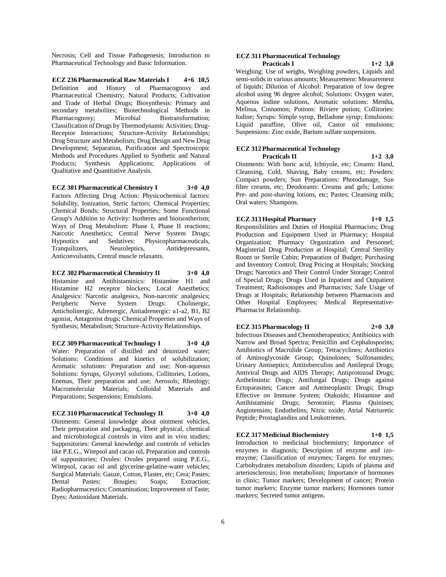Necrosis; Cell and Tissue Pathogenesis; Introduction to Pharmaceutical Technology and Basic Information.

**ECZ 236 Pharmaceutical Raw Materials I 4+6 10,5** Definition and History of Pharmacognosy and Pharmaceutical Chemistry; Natural Products; Cultivation and Trade of Herbal Drugs; Biosynthesis: Primary and secondary metabolites; Biotechnological Methods in Pharmacognosy: Microbial Biotransformation: Classification of Drugs by Thermodynamic Activities; Drug-Receptor Interactions; Structure-Activity Relationships; Drug Structure and Metabolism; Drug Design and New Drug Development; Separation, Purification and Spectroscopic Methods and Procedures Applied to Synthetic and Natural Products; Synthesis Applications; Applications of Qualitative and Quantitative Analysis.

**ECZ 301 Pharmaceutical Chemistry I 3+0 4,0** Factors Affecting Drug Action: Physicochemical factors: Solubility, Ionization, Steric factors; Chemical Properties; Chemical Bonds; Structural Properties; Some Functional Group's Addition to Activity: Isotheres and bioisostherism; Ways of Drug Metabolism: Phase I, Phase II reactions; Narcotic Anesthetics; Central Nerve System Drugs; Hypnotics and Sedatives: Physicopharmaceuticals, Tranquilizers, Neuroleptics, Antidepressants, Anticonvulsants, Central muscle relaxants.

**ECZ 302 Pharmaceutical Chemistry II 3+0 4,0** Histamine and Antihistaminics: Histamine H1 and Histamine H2 receptor blockers; Local Anesthetics; Analgesics: Narcotic analgesics, Non-narcotic analgesics; Peripheric Nerve System Drugs: Cholinergic, Anticholinergic, Adrenergic, Antiadrenergic: a1-a2, B1, B2 agonist, Antagonist drugs; Chemical Properties and Ways of Synthesis; Metabolism; Structure-Activity Relationships.

**ECZ 309 Pharmaceutical Technology I 3+0 4,0** Water: Preparation of distilled and deionized water; Solutions: Conditions and kinetics of solubilization; Aromatic solutions: Preparation and use; Non-aqueous Solutions: Syrups, Glyceryl solutions, Collitories, Lotions, Enemas, Their preparation and use; Aerosols; Rheology; Macromolecular Materials; Colloidal Materials and Preparations; Suspensions; Emulsions.

#### **ECZ 310 Pharmaceutical Technology II 3+0 4,0**

Ointments: General knowledge about ointment vehicles, Their preparation and packaging, Their physical, chemical and microbiological controls in vitro and in vivo studies; Suppositories: General knowledge and controls of vehicles like P.E.G., Witepsol and cacao oil, Preparation and controls of suppositories; Ovules: Ovules prepared using P.E.G., Witepsol, cacao oil and glycerine-gelatine-water vehicles; Surgical Materials: Gauze, Cotton, Flaster, etc; Cera; Pastes; Dental Pastes; Bougies; Soaps; Extraction; Radiopharmaceutics; Contamination; Improvement of Taste; Dyes; Antioxidant Materials.

#### **ECZ 311 Pharmaceutical Technology Practicals I 1+2 3,0**

Weighing: Use of weighs, Weighing powders, Liquids and semi-solids in various amounts; Measurement: Measurement of liquids; Dilution of Alcohol: Preparation of low degree alcohol using 96 degree alcohol; Solutions: Oxygen water, Aqueous iodine solutions, Aromatic solutions: Mentha, Melissa, Cinnamon; Potions: Riviere potion; Collitories: Iodine; Syrups: Simple syrup, Belladone syrup; Emulsions: Liquid paraffine, Olive oil, Castor oil emulsions; Suspensions: Zinc oxide, Barium sulfate suspensions.

#### **ECZ 312 Pharmaceutical Technology Practicals II 1+2 3,0**

Ointments: With boric acid, Ichtiyole, etc; Creams: Hand, Cleansing, Cold, Shaving, Baby creams, etc; Powders: Compact powders; Sun Preparations: Photodamage, Sun filter creams, etc; Deodorants: Creams and gels; Lotions: Pre- and post-shaving lotions, etc; Pastes; Cleansing milk; Oral waters; Shampoos.

#### **ECZ 313 Hospital Pharmacy 1+0 1,5**

Responsibilities and Duties of Hospital Pharmacists; Drug Production and Equipment Used in Pharmacy; Hospital Organization; Pharmacy Organization and Personnel; Magisterial Drug Production at Hospital; Central Sterility Room or Sterile Cabin; Preparation of Budget; Purchasing and Inventory Control; Drug Pricing at Hospitals; Stocking Drugs; Narcotics and Their Control Under Storage; Control of Special Drugs; Drugs Used in Inpatient and Outpatient Treatment; Radioisotopes and Pharmacists; Safe Usage of Drugs at Hospitals; Relationship between Pharmacists and Other Hospital Employees; Medical Representative-Pharmacist Relationship.

#### **ECZ 315 Pharmacology II 2+0 3,0**

Infectious Diseases and Chemotherapeutics; Antibiotics with Narrow and Broad Spectra; Penicillin and Cephalosporins; Antibiotics of Macrolide Group; Tetracyclines; Antibiotics of Aminoglycoside Group; Quinolones; Sulfonamides; Urinary Antiseptics; Antituberculins and Antilepral Drugs; Antiviral Drugs and AIDS Therapy; Antiprotozoal Drugs; Anthelmintic Drugs; Antifungal Drugs; Drugs against Ectoparasites; Cancer and Antineoplastic Drugs; Drugs Effective on Immune System; Otakoids; Histamine and Antihistaminic Drugs; Serotonin; Plasma Quinines; Angiotensins; Endothelins; Nitric oxide; Atrial Natriuretic Peptide; Prostaglandins and Leukotrienes.

#### **ECZ 317 Medicinal Biochemistry 1+0 1,5**

Introduction to medicinal biochemistry; Importance of enzymes in diagnosis; Description of enzyme and izoenzyme; Classification of enzymes; Targets for enzymes; Carbohydrates metabolism disorders; Lipids of plasma and arteriosclerosis; Iron metabolism; Importance of hormones in clinic; Tumor markers; Development of cancer; Protein tumor markers; Enzyme tumor markers; Hormones tumor markers; Secreted tumor antigens.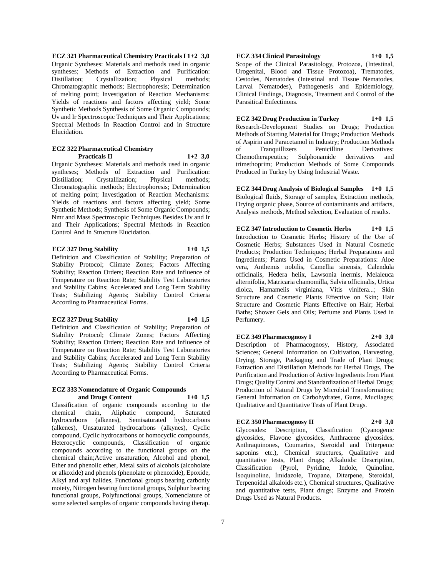**ECZ 321 Pharmaceutical Chemistry Practicals I 1+2 3,0** Organic Syntheses: Materials and methods used in organic syntheses; Methods of Extraction and Purification: Distillation; Crystallization; Physical methods; Chromatographic methods; Electrophoresis; Determination of melting point; Investigation of Reaction Mechanisms: Yields of reactions and factors affecting yield; Some Synthetic Methods Synthesis of Some Organic Compounds; Uv and Ir Spectroscopic Techniques and Their Applications; Spectral Methods In Reaction Control and in Structure Elucidation.

#### **ECZ 322 Pharmaceutical Chemistry Practicals II 1+2 3,0**

Organic Syntheses: Materials and methods used in organic syntheses; Methods of Extraction and Purification: Distillation; Crystallization; Physical methods; Chromatographic methods; Electrophoresis; Determination of melting point; Investigation of Reaction Mechanisms: Yields of reactions and factors affecting yield; Some Synthetic Methods; Synthesis of Some Organic Compounds; Nmr and Mass Spectroscopic Techniques Besides Uv and Ir and Their Applications; Spectral Methods in Reaction Control And In Structure Elucidation.

#### **ECZ 327 Drug Stability 1+0 1,5**

Definition and Classification of Stability; Preparation of Stability Protocol; Climate Zones; Factors Affecting Stability; Reaction Orders; Reaction Rate and Influence of Temperature on Reaction Rate; Stability Test Laboratories and Stability Cabins; Accelerated and Long Term Stability Tests; Stabilizing Agents; Stability Control Criteria According to Pharmaceutical Forms.

#### **ECZ 327 Drug Stability 1+0 1,5**

Definition and Classification of Stability; Preparation of Stability Protocol; Climate Zones; Factors Affecting Stability; Reaction Orders; Reaction Rate and Influence of Temperature on Reaction Rate; Stability Test Laboratories and Stability Cabins; Accelerated and Long Term Stability Tests; Stabilizing Agents; Stability Control Criteria According to Pharmaceutical Forms.

#### **ECZ 333 Nomenclature of Organic Compounds and Drugs Content 1+0 1,5**

Classification of organic compounds according to the chemical chain, Aliphatic compound, Saturated hydrocarbons (alkenes), Semisaturated hydrocarbons (alkenes), Unsaturated hydrocarbons (alkynes), Cyclic compound, Cyclic hydrocarbons or homocyclic compounds, Heterocyclic compounds, Classification of organic compounds according to the functional groups on the chemical chain;Active unsaturation, Alcohol and phenol, Ether and phenolic ether, Metal salts of alcohols (alcoholate or alkoxide) and phenols (phenolate or phenoxide), Epoxide, Alkyl and aryl halides, Functional groups bearing carbonly moiety, Nitrogen bearing functional groups, Sulphur bearing functional groups, Polyfunctional groups, Nomenclature of some selected samples of organic compounds having therap.

# **ECZ 334 Clinical Parasitology 1+0 1,5**

Scope of the Clinical Parasitology, Protozoa, (Intestinal, Urogenital, Blood and Tissue Protozoa), Trematodes, Cestodes, Nematodes (Intestinal and Tissue Nematodes, Larval Nematodes), Pathogenesis and Epidemiology, Clinical Findings, Diagnosis, Treatment and Control of the Parasitical Enfectinons.

**ECZ 342 Drug Production in Turkey 1+0 1,5** Research-Development Studies on Drugs; Production Methods of Starting Material for Drugs; Production Methods of Aspirin and Paracetamol in Industry; Production Methods of Tranquillizers Penicilline Derivatives: Chemotherapeutics; Sulphonamide derivatives and trimethoprim; Production Methods of Some Compounds Produced in Turkey by Using Industrial Waste.

**ECZ 344 Drug Analysis of Biological Samples 1+0 1,5** Biological fluids, Storage of samples, Extraction methods, Drying organic phase, Source of contaminants and artifacts, Analysis methods, Method selection, Evaluation of results.

**ECZ 347 Introduction to Cosmetic Herbs 1+0 1,5** Introduction to Cosmetic Herbs; History of the Use of Cosmetic Herbs; Substances Used in Natural Cosmetic Products; Production Techniques; Herbal Preparations and Ingredients; Plants Used in Cosmetic Preparations: Aloe vera, Anthemis nobilis, Camellia sinensis, Calendula officinalis, Hedera helix, Lawsonia inermis, Melaleuca alternifolia, Matricaria chamomilla, Salvia officinalis, Urtica dioica, Hamamelis virginiana, Vitis vinifera...; Skin Structure and Cosmetic Plants Effective on Skin; Hair Structure and Cosmetic Plants Effective on Hair; Herbal Baths; Shower Gels and Oils; Perfume and Plants Used in Perfumery.

# **ECZ 349 Pharmacognosy I 2+0 3,0**

Description of Pharmacognosy, History, Associated Sciences; General Information on Cultivation, Harvesting, Drying, Storage, Packaging and Trade of Plant Drugs; Extraction and Distillation Methods for Herbal Drugs, The Purification and Production of Active Ingredients from Plant Drugs; Quality Control and Standardization of Herbal Drugs; Production of Natural Drugs by Microbial Transformation; General Information on Carbohydrates, Gums, Mucilages; Qualitative and Quantitative Tests of Plant Drugs.

#### **ECZ 350 Pharmacognosy II 2+0 3,0**

Glycosides: Description, Classification (Cyanogenic glycosides, Flavone glycosides, Anthracene glycosides, Anthraquinones, Coumarins, Steroidal and Triterpenic saponins etc.), Chemical structures, Qualitative and quantitative tests, Plant drugs; Alkaloids: Description, Classification (Pyrol, Pyridine, Indole, Quinoline, İsoquinoline, İmidazole, Tropane, Diterpene, Steroidal, Terpenoidal alkaloids etc.), Chemical structures, Qualitative and quantitative tests, Plant drugs; Enzyme and Protein Drugs Used as Natural Products.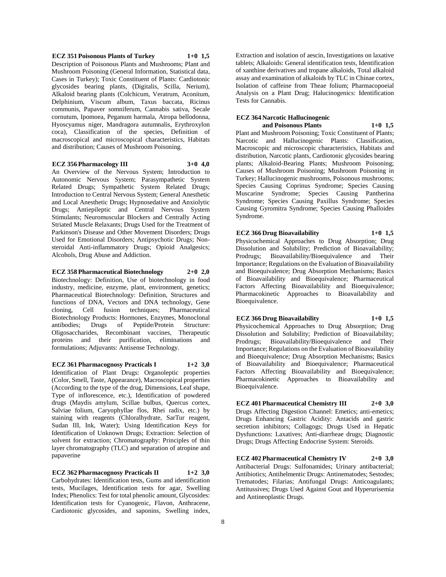**ECZ 351 Poisonous Plants of Turkey 1+0 1,5** Description of Poisonous Plants and Mushrooms; Plant and Mushroom Poisoning (General Information, Statistical data, Cases in Turkey); Toxic Constituent of Plants: Cardiotonic glycosides bearing plants, (Digitalis, Scilla, Nerium), Alkaloid bearing plants (Colchicum, Veratrum, Aconitum, Delphinium, Viscum album, Taxus baccata, Ricinus communis, Papaver somniferum, Cannabis sativa, Secale cornutum, Ipomoea, Peganum harmala, Atropa bellodonna, Hyoscyamus niger, Mandragora autumnalis, Erythroxylon coca), Classification of the species, Definition of macroscopical and microscopical characteristics, Habitats and distribution; Causes of Mushroom Poisoning.

#### **ECZ 356 Pharmacology III 3+0 4,0**

An Overview of the Nervous System; Introduction to Autonomic Nervous System; Parasympathetic System Related Drugs; Sympathetic System Related Drugs; Introduction to Central Nervous System; General Anesthetic and Local Anesthetic Drugs; Hypnosedative and Anxiolytic Drugs; Antiepileptic and Central Nervous System Stimulants; Neuromuscular Blockers and Centrally Acting Striated Muscle Relaxants; Drugs Used for the Treatment of Parkinson's Disease and Other Movement Disorders; Drugs Used for Emotional Disorders; Antipsychotic Drugs; Nonsteroidal Anti-inflammatory Drugs; Opioid Analgesics; Alcohols, Drug Abuse and Addiction.

#### **ECZ 358 Pharmaceutical Biotechnology 2+0 2,0**

Biotechnology: Definition, Use of biotechnology in food industry, medicine, enzyme, plant, environment, genetics; Pharmaceutical Biotechnology: Definition, Structures and functions of DNA, Vectors and DNA technology, Gene cloning, Cell fusion techniques; Pharmaceutical Biotechnology Products: Hormones, Enzymes, Monoclonal antibodies; Drugs of Peptide/Protein Structure: Oligosaccharides, Recombinant vaccines, Therapeutic proteins and their purification, eliminations and formulations; Adjuvants: Antisense Technology.

#### **ECZ 361 Pharmacognosy Practicals I 1+2 3,0**

Identification of Plant Drugs: Organoleptic properties (Color, Smell, Taste, Appearance), Macroscopical properties (According to the type of the drug, Dimensions, Leaf shape, Type of inflorescence, etc.), Identification of powdered drugs (Maydis amylum, Scillae bulbus, Quercus cortex, Salviae folium, Caryophyllae flos, Rhei radix, etc.) by staining with reagents (Chloralhydrate, SarTur reagent, Sudan III, Ink, Water); Using Identification Keys for Identification of Unknown Drugs; Extraction: Selection of solvent for extraction; Chromatography: Principles of thin layer chromatography (TLC) and separation of atropine and papaverine

# **ECZ 362 Pharmacognosy Practicals II 1+2 3,0**

Carbohydrates: Identification tests, Gums and identification tests, Mucilages, Identification tests for agar, Swelling Index; Phenolics: Test for total phenolic amount, Glycosides: Identification tests for Cyanogenic, Flavon, Anthracene, Cardiotonic glycosides, and saponins, Swelling index,

Extraction and isolation of aescin, Investigations on laxative tablets; Alkaloids: General identification tests, Identification of xanthine derivatives and tropane alkaloids, Total alkaloid assay and examination of alkaloids by TLC in Chinae cortex, Isolation of caffeine from Theae folium; Pharmacopoeial Analysis on a Plant Drug; Halucinogenics: Identification Tests for Cannabis.

# **ECZ 364 Narcotic Hallucinogenic and Poisonous Plants 1+0 1,5**

Plant and Mushroom Poisoning; Toxic Constituent of Plants; Narcotic and Hallucinogenic Plants: Classification, Macroscopic and microscopic characteristics, Habitats and distribution, Narcotic plants, Cardiotonic glycosides bearing plants; Alkaloid-Bearing Plants; Mushroom Poisoning; Causes of Mushroom Poisoning; Mushroom Poisoning in Turkey; Hallucinogenic mushrooms, Poisonous mushrooms; Species Causing Coprinus Syndrome; Species Causing Muscarine Syndrome; Species Causing Pantherina Syndrome; Species Causing Paxillus Syndrome; Species Causing Gyromitra Syndrome; Species Causing Phalloides Syndrome.

# **ECZ 366 Drug Bioavailability 1+0 1,5** Physicochemical Approaches to Drug Absorption; Drug

Dissolution and Solubility; Prediction of Bioavailability; Prodrugs; Bioavailability/Bioequivalence and Their Importance; Regulations on the Evaluation of Bioavailability and Bioequivalence; Drug Absorption Mechanisms; Basics of Bioavailability and Bioequivalence; Pharmaceutical Factors Affecting Bioavailability and Bioequivalence; Pharmacokinetic Approaches to Bioavailability and Bioequivalence.

#### **ECZ 366 Drug Bioavailability 1+0 1,5**

Physicochemical Approaches to Drug Absorption; Drug Dissolution and Solubility; Prediction of Bioavailability; Prodrugs; Bioavailability/Bioequivalence and Their Importance; Regulations on the Evaluation of Bioavailability and Bioequivalence; Drug Absorption Mechanisms; Basics of Bioavailability and Bioequivalence; Pharmaceutical Factors Affecting Bioavailability and Bioequivalence; Pharmacokinetic Approaches to Bioavailability and Bioequivalence.

**ECZ 401 Pharmaceutical Chemistry III 2+0 3,0** Drugs Affecting Digestion Channel: Emetics; anti-emetics; Drugs Enhancing Gastric Acidity: Antacids and gastric secretion inhibitors; Collagogs; Drugs Used in Hepatic Dysfunctions: Laxatives; Anti-diarrheae drugs; Diagnostic Drugs; Drugs Affecting Endocrine System: Steroids.

**ECZ 402 Pharmaceutical Chemistry IV 2+0 3,0** Antibacterial Drugs: Sulfonamides; Urinary antibacterial; Antibiotics; Antihelmentic Drugs: Antinematodes; Sestodes; Trematodes; Filarias; Antifungal Drugs: Anticoagulants; Antitussives; Drugs Used Against Gout and Hyperurisemia and Antineoplastic Drugs.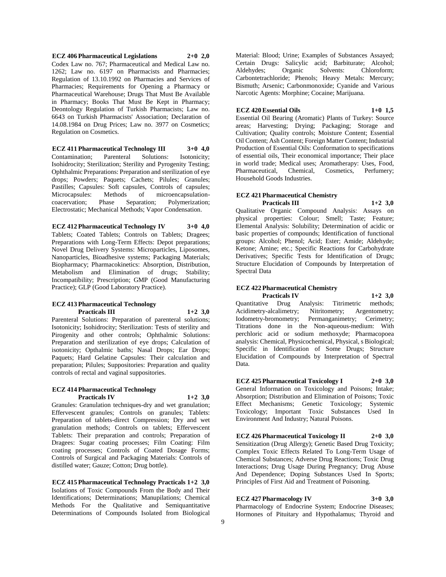**ECZ 406 Pharmaceutical Legislations 2+0 2,0** Codex Law no. 767; Pharmaceutical and Medical Law no. 1262; Law no. 6197 on Pharmacists and Pharmacies; Regulation of 13.10.1992 on Pharmacies and Services of Pharmacies; Requirements for Opening a Pharmacy or Pharmaceutical Warehouse; Drugs That Must Be Available in Pharmacy; Books That Must Be Kept in Pharmacy; Deontology Regulation of Turkish Pharmacists; Law no. 6643 on Turkish Pharmacists' Association; Declaration of 14.08.1984 on Drug Prices; Law no. 3977 on Cosmetics; Regulation on Cosmetics.

**ECZ 411 Pharmaceutical Technology III 3+0 4,0** Contamination; Parenteral Solutions: Isotonicity; Isohidrocity; Sterilization; Sterility and Pyrogenity Testing; Ophthalmic Preparations: Preparation and sterilization of eye drops; Powders; Paquets; Cachets; Pilules; Granules; Pastilles; Capsules: Soft capsules, Controls of capsules; Microcapsules: Methods of microencapsulationcoacervation; Phase Separation; Polymerization; Electrostatic; Mechanical Methods; Vapor Condensation.

**ECZ 412 Pharmaceutical Technology IV 3+0 4,0** Tablets; Coated Tablets; Controls on Tablets; Dragees; Preparations with Long-Term Effects: Depot preparations; Novel Drug Delivery Systems: Microparticles, Liposomes, Nanoparticles, Bioadhesive systems; Packaging Materials; Biopharmacy; Pharmacokinetics: Absorption, Distribution, Metabolism and Elimination of drugs; Stability; Incompatibility; Prescription; GMP (Good Manufacturing Practice); GLP (Good Laboratory Practice).

#### **ECZ 413 Pharmaceutical Technology Practicals III 1+2 3,0**

Parenteral Solutions: Preparation of parenteral solutions; Isotonicity; Isohidrocity; Sterilization: Tests of sterility and Pirogenity and other controls; Ophthalmic Solutions: Preparation and sterilization of eye drops; Calculation of isotonicity; Opthalmic baths; Nasal Drops; Ear Drops; Paquets; Hard Gelatine Capsules: Their calculation and preparation; Pilules; Suppositories: Preparation and quality controls of rectal and vaginal suppositories.

#### **ECZ 414 Pharmaceutical Technology Practicals IV 1+2 3,0**

Granules: Granulation techniques-dry and wet granulation; Effervescent granules; Controls on granules; Tablets: Preparation of tablets-direct Compression; Dry and wet granulation methods; Controls on tablets; Effervescent Tablets: Their preparation and controls; Preparation of Dragees: Sugar coating processes; Film Coating: Film coating processes; Controls of Coated Dosage Forms; Controls of Surgical and Packaging Materials: Controls of distilled water; Gauze; Cotton; Drug bottle).

**ECZ 415 Pharmaceutical Technology Practicals 1+2 3,0** Isolations of Toxic Compounds From the Body and Their Identifications; Determinations; Manupilations; Chemical Methods For the Qualitative and Semiquantitative Determinations of Compounds Isolated from Biological

Material: Blood; Urine; Examples of Substances Assayed; Certain Drugs: Salicylic acid; Barbiturate; Alcohol; Aldehydes; Organic Solvents: Chloroform; Carbontetrachloride; Phenols; Heavy Metals: Mercury; Bismuth; Arsenic; Carbonmonoxide; Cyanide and Various Narcotic Agents: Morphine; Cocaine; Marijuana.

### **ECZ 420 Essential Oils 1+0 1,5**

Essential Oil Bearing (Aromatic) Plants of Turkey: Source areas; Harvesting; Drying; Packaging; Storage and Cultivation; Quality controls; Moisture Content; Essential

Oil Content; Ash Content; Foreign Matter Content; Industrial Production of Essential Oils: Conformation to specifications of essential oils, Their economical importance; Their place in world trade; Medical uses; Aromatherapy: Uses, Food, Pharmaceutical, Chemical, Cosmetics, Perfumery; Household Goods Industries.

#### **ECZ 421 Pharmaceutical Chemistry Practicals III 1+2 3,0**

Qualitative Organic Compound Analysis: Assays on physical properties: Colour; Smell; Taste; Feature; Elemental Analysis: Solubility; Determination of acidic or basic properties of compounds; Identification of functional groups: Alcohol; Phenol; Acid; Ester; Amide; Aldehyde; Ketone; Amine; etc.; Specific Reactions for Carbohydrate Derivatives; Specific Tests for Identification of Drugs; Structure Elucidation of Compounds by Interpretation of Spectral Data

#### **ECZ 422 Pharmaceutical Chemistry Practicals IV 1+2 3,0**

Quantitative Drug Analysis: Titrimetric methods; Acidimetry-alcalimetry; Nitritometry; Argentometry; Iodometry-bromometry; Permanganimetry; Cerimetry; Titrations done in the Non-aqueous-medium: With perchloric acid or sodium methoxyde; Pharmacopoea analysis: Chemical, Physicochemical, Physical, s Biological; Specific in Identification of Some Drugs; Structure Elucidation of Compounds by Interpretation of Spectral Data.

**ECZ 425 Pharmaceutical Toxicology I 2+0 3,0** General Information on Toxicology and Poisons; Intake; Absorption; Distribution and Elimination of Poisons; Toxic Effect Mechanisms; Genetic Toxicology; Systemic Toxicology; Important Toxic Substances Used In Environment And Industry; Natural Poisons.

**ECZ 426 Pharmaceutical Toxicology II 2+0 3,0** Sensitization (Drug Allergy); Genetic Based Drug Toxicity; Complex Toxic Effects Related To Long-Term Usage of Chemical Substances; Adverse Drug Reactions; Toxic Drug Interactions; Drug Usage During Pregnancy; Drug Abuse And Dependence; Doping Substances Used In Sports; Principles of First Aid and Treatment of Poisoning.

# **ECZ 427 Pharmacology IV 3+0 3,0**

Pharmacology of Endocrine System; Endocrine Diseases; Hormones of Pituitary and Hypothalamus; Thyroid and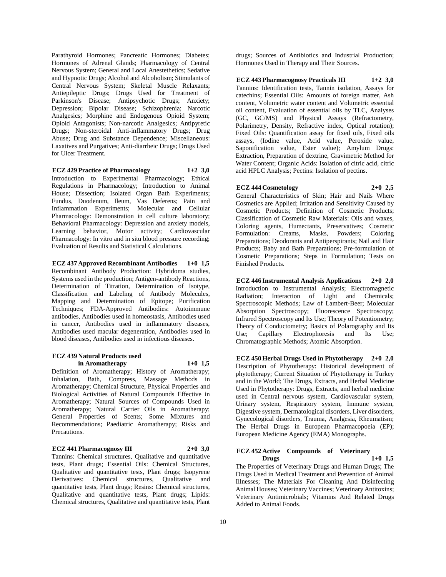Parathyroid Hormones; Pancreatic Hormones; Diabetes; Hormones of Adrenal Glands; Pharmacology of Central Nervous System; General and Local Anestethetics; Sedative and Hypnotic Drugs; Alcohol and Alcoholism; Stimulants of Central Nervous System; Skeletal Muscle Relaxants; Antiepileptic Drugs; Drugs Used for Treatment of Parkinson's Disease; Antipsychotic Drugs; Anxiety; Depression; Bipolar Disease; Schizophrenia; Narcotic Analgesics; Morphine and Endogenous Opioid System; Opioid Antagonists; Non-narcotic Analgesics; Antipyretic Drugs; Non-steroidal Anti-inflammatory Drugs; Drug Abuse; Drug and Substance Dependence; Miscellaneous: Laxatives and Purgatives; Anti-diarrheic Drugs; Drugs Used for Ulcer Treatment.

**ECZ 429 Practice of Pharmacology 1+2 3,0** Introduction to Experimental Pharmacology; Ethical Regulations in Pharmacology; Introduction to Animal House; Dissection; Isolated Organ Bath Experiments; Fundus, Duodenum, Ileum, Vas Deferens; Pain and Inflammation Experiments; Molecular and Cellular Pharmacology: Demonstration in cell culture laboratory; Behavioral Pharmacology: Depression and anxiety models, Learning behavior, Motor activity; Cardiovascular Pharmacology: In vitro and in situ blood pressure recording; Evaluation of Results and Statistical Calculations.

**ECZ 437 Approved Recombinant Antibodies 1+0 1,5** Recombinant Antibody Production: Hybridoma studies, Systems used in the production; Antigen-antibody Reactions, Determination of Titration, Determination of Isotype, Classification and Labeling of Antibody Molecules, Mapping and Determination of Epitope; Purification Techniques; FDA-Approved Antibodies: Autoimmune antibodies, Antibodies used in homeostasis, Antibodies used in cancer, Antibodies used in inflammatory diseases, Antibodies used macular degeneration, Antibodies used in blood diseases, Antibodies used in infectious diseases.

#### **ECZ 439 Natural Products used in Aromatherapy 1+0 1,5**

Definition of Aromatherapy; History of Aromatherapy; Inhalation, Bath, Compress, Massage Methods in Aromatherapy; Chemical Structure, Physical Properties and Biological Activities of Natural Compounds Effective in Aromatherapy; Natural Sources of Compounds Used in Aromatherapy; Natural Carrier Oils in Aromatherapy; General Properties of Scents; Some Mixtures and Recommendations; Paediatric Aromatherapy; Risks and Precautions.

#### **ECZ 441 Pharmacognosy III 2+0 3,0**

Tannins: Chemical structures, Qualitative and quantitative tests, Plant drugs; Essential Oils: Chemical Structures, Qualitative and quantitative tests, Plant drugs; Isopyrene Derivatives: Chemical structures, Qualitative and quantitative tests, Plant drugs; Resins: Chemical structures, Qualitative and quantitative tests, Plant drugs; Lipids: Chemical structures, Qualitative and quantitative tests, Plant

drugs; Sources of Antibiotics and Industrial Production; Hormones Used in Therapy and Their Sources.

**ECZ 443 Pharmacognosy Practicals III 1+2 3,0** Tannins: Identification tests, Tannin isolation, Assays for catechins; Essential Oils: Amounts of foreign matter, Ash content, Volumetric water content and Volumetric essential oil content, Evaluation of essential oils by TLC, Analyses (GC, GC/MS) and Physical Assays (Refractometry, Polarimetry, Density, Refractive index, Optical rotation); Fixed Oils: Quantification assay for fixed oils, Fixed oils assays, (Iodine value, Acid value, Peroxide value, Saponification value, Ester value); Amylum Drugs: Extraction, Preparation of dextrine, Gravimetric Method for Water Content; Organic Acids: Isolation of citric acid, citric acid HPLC Analysis; Pectins: Isolation of pectins.

#### **ECZ 444 Cosmetology 2+0 2,5**

General Characteristics of Skin; Hair and Nails Where Cosmetics are Applied; Irritation and Sensitivity Caused by Cosmetic Products; Definition of Cosmetic Products; Classification of Cosmetic Raw Materials: Oils and waxes, Coloring agents, Humectants, Preservatives; Cosmetic Formulation: Creams, Masks, Powders; Coloring Preparations; Deodorants and Antiperspirants; Nail and Hair Products; Baby and Bath Preparations; Pre-formulation of Cosmetic Preparations; Steps in Formulation; Tests on Finished Products.

**ECZ 446 Instrumental Analysis Applications 2+0 2,0** Introduction to Instrumental Analysis; Electromagnetic Radiation; Interaction of Light and Chemicals; Spectroscopic Methods; Law of Lambert-Beer; Molecular Absorption Spectroscopy; Fluorescence Spectroscopy; Infrared Spectroscopy and Its Use; Theory of Potentiometry; Theory of Conductometry; Basics of Polarography and Its Use; Capillary Electrophoresis and Its Use; Chromatographic Methods; Atomic Absorption.

**ECZ 450 Herbal Drugs Used in Phytotherapy 2+0 2,0** Description of Phytotherapy: Historical development of phytotherapy; Current Situation of Phytotherapy in Turkey and in the World; The Drugs, Extracts, and Herbal Medicine Used in Phytotherapy: Drugs, Extracts, and herbal medicine used in Central nervous system, Cardiovascular system, Urinary system, Respiratory system, Immune system, Digestive system, Dermatological disorders, Liver disorders, Gynecological disorders, Trauma, Analgesia, Rheumatism; The Herbal Drugs in European Pharmacopoeia (EP); European Medicine Agency (EMA) Monographs.

#### **ECZ 452 Active Compounds of Veterinary Drugs 1+0 1,5**

The Properties of Veterinary Drugs and Human Drugs; The Drugs Used in Medical Treatment and Prevention of Animal Illnesses; The Materials For Cleaning And Disinfecting Animal Houses; Veterinary Vaccines; Veterinary Antitoxins; Veterinary Antimicrobials; Vitamins And Related Drugs Added to Animal Foods.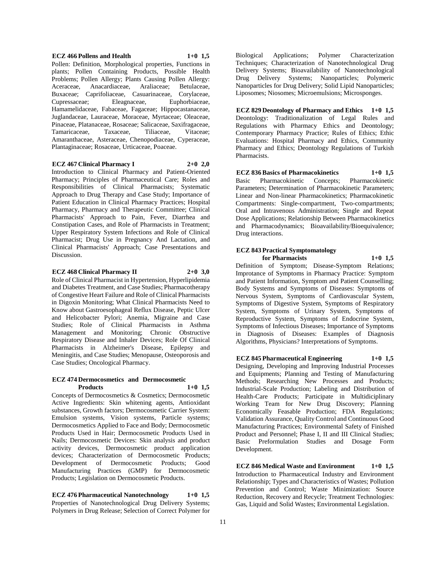#### Pollen: Definition, Morphological properties, Functions in plants; Pollen Containing Products, Possible Health Problems; Pollen Allergy; Plants Causing Pollen Allergy: Aceraceae, Anacardiaceae, Araliaceae; Betulaceae, Buxaceae; Caprifoliaceae, Casuarinaceae, Corylaceae, Cupressaceae; Eleagnaceae, Euphorbiaceae, Hamamelidaceae, Fabaceae, Fagaceae; Hippocastanaceae, Juglandaceae, Lauraceae, Moraceae, Myrtaceae; Oleaceae, Pinaceae, Platanaceae, Rosaceae; Salicaceae, Saxifragaceae, Tamaricaceae, Amaranthaceae, Asteraceae, Chenopodiaceae, Cyperaceae, Plantaginaceae; Rosaceae, Urticaceae, Poaceae.

#### **ECZ 467 Clinical Pharmacy I 2+0 2,0**

Introduction to Clinical Pharmacy and Patient-Oriented Pharmacy; Principles of Pharmaceutical Care; Roles and Responsibilities of Clinical Pharmacists; Systematic Approach to Drug Therapy and Case Study; Importance of Patient Education in Clinical Pharmacy Practices; Hospital Pharmacy, Pharmacy and Therapeutic Committee; Clinical Pharmacists' Approach to Pain, Fever, Diarrhea and Constipation Cases, and Role of Pharmacists in Treatment; Upper Respiratory System Infections and Role of Clinical Pharmacist; Drug Use in Pregnancy And Lactation, and Clinical Pharmacists' Approach; Case Presentations and Discussion.

#### **ECZ 468 Clinical Pharmacy II 2+0 3,0**

Role of Clinical Pharmacist in Hypertension, Hyperlipidemia and Diabetes Treatment, and Case Studies; Pharmacotherapy of Congestive Heart Failure and Role of Clinical Pharmacists in Digoxin Monitoring; What Clinical Pharmacists Need to Know about Gastroesophageal Reflux Disease, Peptic Ulcer and Helicobacter Pylori; Anemia, Migraine and Case Studies; Role of Clinical Pharmacists in Asthma Management and Monitoring; Chronic Obstructive Respiratory Disease and Inhaler Devices; Role Of Clinical Pharmacists in Alzheimer's Disease, Epilepsy and Meningitis, and Case Studies; Menopause, Osteoporosis and Case Studies; Oncological Pharmacy.

#### **ECZ 474 Dermocosmetics and Dermocosmetic Products 1+0 1,5**

Concepts of Dermocosmetics & Cosmetics; Dermocosmetic Active Ingredients: Skin whitening agents, Antioxidant substances, Growth factors; Dermocosmetic Carrier System: Emulsion systems, Vision systems, Particle systems; Dermocosmetics Applied to Face and Body; Dermocosmetic Products Used in Hair; Dermocosmetic Products Used in Nails; Dermocosmetic Devices: Skin analysis and product activity devices, Dermocosmetic product application devices; Characterization of Dermocosmetic Products; Development of Dermocosmetic Products; Good Manufacturing Practices (GMP) for Dermocosmetic Products; Legislation on Dermocosmetic Products.

**ECZ 476 Pharmaceutical Nanotechnology 1+0 1,5** Properties of Nanotechnological Drug Delivery Systems; Polymers in Drug Release; Selection of Correct Polymer for

Biological Applications; Polymer Characterization Techniques; Characterization of Nanotechnological Drug Delivery Systems; Bioavailability of Nanotechnological Drug Delivery Systems; Nanoparticles; Polymeric Nanoparticles for Drug Delivery; Solid Lipid Nanoparticles; Liposomes; Niosomes; Microemulsions; Microsponges.

**ECZ 829 Deontology of Pharmacy and Ethics 1+0 1,5** Deontology: Traditionalization of Legal Rules and Regulations with Pharmacy Ethics and Deontology; Contemporary Pharmacy Practice; Rules of Ethics; Ethic Evaluations: Hospital Pharmacy and Ethics, Community Pharmacy and Ethics; Deontology Regulations of Turkish Pharmacists.

**ECZ 836 Basics of Pharmacokinetics 1+0 1,5** Basic Pharmacokinetic Concepts; Pharmacokinetic Parameters; Determination of Pharmacokinetic Parameters; Linear and Non-linear Pharmacokinetics; Pharmacokinetic Compartments: Single-compartment, Two-compartments; Oral and Intravenous Administration; Single and Repeat Dose Applications; Relationship Between Pharmacokinetics and Pharmacodynamics; Bioavailability/Bioequivalence; Drug interactions.

#### **ECZ 843 Practical Symptomatology for Pharmacists 1+0 1,5**

Definition of Symptom; Disease-Symptom Relations; Improtance of Symptoms in Pharmacy Practice: Symptom and Patient Information, Symptom and Patient Counselling; Body Systems and Symptoms of Diseases: Symptoms of Nervous System, Symptoms of Cardiovascular System, Symptoms of Digestive System, Symptoms of Respiratory System, Symptoms of Urinary System, Symptoms of Reproductive System, Symptoms of Endocrine System, Symptoms of Infectious Diseases; Importance of Symptoms in Diagnosis of Diseases: Examples of Diagnosis Algorithms, Physicians? Interpretations of Symptoms.

**ECZ 845 Pharmaceutical Engineering 1+0 1,5** Designing, Developing and Improving Industrial Processes and Equipments; Planning and Testing of Manufacturing Methods; Researching New Processes and Products; Industrial-Scale Production; Labeling and Distribution of Health-Care Products; Participate in Multidiciplinary Working Team for New Drug Discovery; Planning Economically Feasable Production; FDA Regulations; Validation Assurance, Quality Control and Continuous Good Manufacturing Practices; Environmental Safety of Finished Product and Personnel; Phase I, II and III Clinical Studies; Basic Preformulation Studies and Dosage Form Development.

**ECZ 846 Medical Waste and Environment 1+0 1,5** Introduction to Pharmaceutical Industry and Environment Relationship; Types and Characteristics of Wastes; Pollution Prevention and Control; Waste Minimization: Source Reduction, Recovery and Recycle; Treatment Technologies: Gas, Liquid and Solid Wastes; Environmental Legislation.

**ECZ 466 Pollens and Health 1+0 1,5**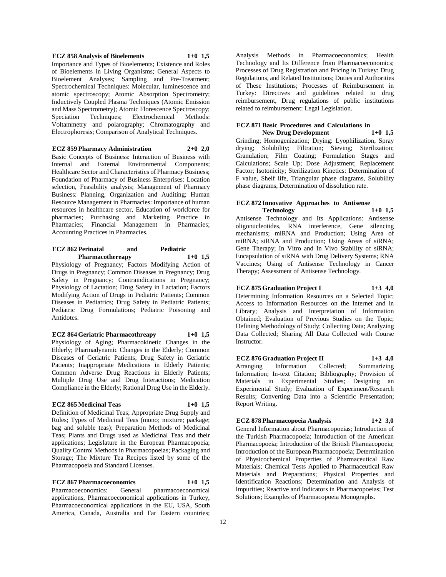#### **ECZ 858 Analysis of Bioelements 1+0 1,5**

Importance and Types of Bioelements; Existence and Roles of Bioelements in Living Organisms; General Aspects to Bioelement Analyses; Sampling and Pre-Treatment; Spectrochemical Techniques: Molecular, luminescence and atomic spectroscopy; Atomic Absorption Spectrometry; Inductively Coupled Plasma Techniques (Atomic Emission and Mass Spectrometry); Atomic Florescence Spectroscopy; Speciation Techniques; Electrochemical Methods: Voltammetry and polarography; Chromatography and Electrophoresis; Comparison of Analytical Techniques.

**ECZ 859 Pharmacy Administration 2+0 2,0**

Basic Concepts of Business: Interaction of Business with Internal and External Environmental Components; Healthcare Sector and Characteristics of Pharmacy Business; Foundation of Pharmacy of Business Enterprises: Location selection, Feasibility analysis; Management of Pharmacy Business: Planning, Organization and Auditing; Human Resource Management in Pharmacies: Importance of human resources in healthcare sector, Education of workforce for pharmacies; Purchasing and Marketing Practice in Pharmacies; Financial Management in Pharmacies; Accounting Practices in Pharmacies.

#### **ECZ 862 Perinatal and Pediatric Pharmacothereapy 1+0 1,5**

Physiology of Pregnancy; Factors Modifying Action of Drugs in Pregnancy; Common Diseases in Pregnancy; Drug Safety in Pregnancy; Contraindications in Pregnancy; Physiology of Lactation; Drug Safety in Lactation; Factors Modifying Action of Drugs in Pediatric Patients; Common Diseases in Pediatrics; Drug Safety in Pediatric Patients; Pediatric Drug Formulations; Pediatric Poisoning and Antidotes.

**ECZ 864 Geriatric Pharmacothreapy 1+0 1,5**

Physiology of Aging; Pharmacokinetic Changes in the Elderly; Pharmadynamic Changes in the Elderly; Common Diseases of Geriatric Patients; Drug Safety in Geriatric Patients; Inappropriate Medications in Elderly Patients; Common Adverse Drug Reactions in Elderly Patients; Multiple Drug Use and Drug Interactions; Medication Compliance in the Elderly; Rational Drug Use in the Elderly.

#### **ECZ 865 Medicinal Teas 1+0 1,5**

Definition of Medicinal Teas; Appropriate Drug Supply and Rules; Types of Medicinal Teas (mono; mixture; package; bag and soluble teas); Preparation Methods of Medicinal Teas; Plants and Drugs used as Medicinal Teas and their applications; Legislature in the European Pharmacopoeia; Quality Control Methods in Pharmacopoeias; Packaging and Storage; The Mixture Tea Recipes listed by some of the Pharmacopoeia and Standard Licenses.

#### **ECZ 867 Pharmacoeconomics 1+0 1,5**

Pharmacoeconomics: General pharmacoeconomical applications, Pharmacoeconomical applications in Turkey, Pharmacoeconomical applications in the EU, USA, South America, Canada, Australia and Far Eastern countries;

Analysis Methods in Pharmacoeconomics; Health Technology and Its Difference from Pharmacoeconomics; Processes of Drug Registration and Pricing in Turkey: Drug Regulations, and Related Institutions; Duties and Authorities of These Institutions; Processes of Reimbursement in Turkey: Directives and guidelines related to drug reimbursement, Drug regulations of public institutions related to reimbursement: Legal Legislation.

# **ECZ 871 Basic Procedures and Calculations in**

**New Drug Development 1+0 1,5** Grinding; Homogenization; Drying: Lyophilization, Spray drying; Solubility; Filtration; Sieving; Sterilization; Granulation; Film Coating; Formulation Stages and Calculations; Scale Up; Dose Adjustment; Replacement Factor; Isotonicity; Sterilization Kinetics: Determination of F value, Shelf life, Triangular phase diagrams, Solubility phase diagrams, Determination of dissolution rate.

### **ECZ 872 Innovative Approaches to Antisense Technology 1+0 1,5**

Antisense Technology and Its Applications: Antisense oligonucleotides, RNA interference, Gene silencing mechanisms; miRNA and Production; Using Area of miRNA; siRNA and Production; Using Areas of siRNA; Gene Therapy; In Vitro and In Vivo Stability of siRNA; Encapsulation of siRNA with Drug Delivery Systems; RNA Vaccines; Using of Antisense Technology in Cancer Therapy; Assessment of Antisense Technology.

### **ECZ 875 Graduation Project I 1+3 4,0**

Determining Information Resources on a Selected Topic; Access to Information Resources on the Internet and in Library; Analysis and Interpretation of Information Obtained; Evaluation of Previous Studies on the Topic; Defining Methodology of Study; Collecting Data; Analyzing Data Collected; Sharing All Data Collected with Course Instructor.

**ECZ 876 Graduation Project II 1+3 4,0** Arranging Information Collected; Summarizing Information; In-text Citation; Bibliography; Provision of Materials in Experimental Studies; Designing an Experimental Study; Evaluation of Experiment/Research Results; Converting Data into a Scientific Presentation; Report Writing.

# **ECZ 878 Pharmacopoeia Analysis 1+2 3,0**

General Information about Pharmacopoeias; Introduction of the Turkish Pharmacopoeia; Introduction of the American Pharmacopoeia; Introduction of the British Pharmacopoeia; Introduction of the European Pharmacopoeia; Determination of Physicochemical Properties of Pharmaceutical Raw Materials; Chemical Tests Applied to Pharmaceutical Raw Materials and Preparations; Physical Properties and Identification Reactions; Determination and Analysis of Impurities; Reactive and Indicators in Pharmacopoeias; Test Solutions; Examples of Pharmacopoeia Monographs.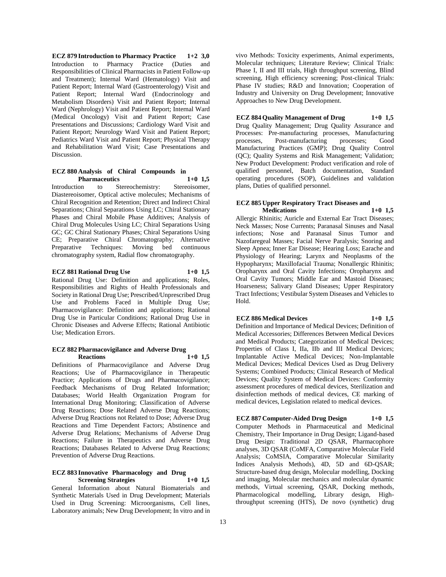**ECZ 879 Introduction to Pharmacy Practice 1+2 3,0** Introduction to Pharmacy Practice (Duties and Responsibilities of Clinical Pharmacists in Patient Follow-up and Treatment); Internal Ward (Hematology) Visit and Patient Report; Internal Ward (Gastroenterology) Visit and Patient Report; Internal Ward (Endocrinology and Metabolism Disorders) Visit and Patient Report; Internal Ward (Nephrology) Visit and Patient Report; Internal Ward (Medical Oncology) Visit and Patient Report; Case Presentations and Discussions; Cardiology Ward Visit and Patient Report; Neurology Ward Visit and Patient Report; Pediatrics Ward Visit and Patient Report; Physical Therapy and Rehabilitation Ward Visit; Case Presentations and Discussion.

#### **ECZ 880 Analysis of Chiral Compounds in Pharmaceutics 1+0 1,5**

Introduction to Stereochemistry: Stereoisomer, Diastereoisomer, Optical active molecules; Mechanisms of Chiral Recognition and Retention; Direct and Indirect Chiral Separations; Chiral Separations Using LC; Chiral Stationary Phases and Chiral Mobile Phase Additives; Analysis of Chiral Drug Molecules Using LC; Chiral Separations Using GC; GC Chiral Stationary Phases; Chiral Separations Using CE; Preparative Chiral Chromatography; Alternative Preparative Techniques: Moving bed continuous chromatography system, Radial flow chromatography.

# **ECZ 881 Rational Drug Use 1+0 1,5**

Rational Drug Use: Definition and applications; Roles, Responsibilities and Rights of Health Professionals and Society in Rational Drug Use; Prescribed/Unprescribed Drug Use and Problems Faced in Multiple Drug Use; Pharmacovigilance: Definition and applications; Rational Drug Use in Particular Conditions; Rational Drug Use in Chronic Diseases and Adverse Effects; Rational Antibiotic Use; Medication Errors.

#### **ECZ 882 Pharmacovigilance and Adverse Drug Reactions 1+0 1,5**

Definitions of Pharmacovigilance and Adverse Drug Reactions; Use of Pharmacovigilance in Therapeutic Practice; Applications of Drugs and Pharmacovigilance; Feedback Mechanisms of Drug Related Information; Databases; World Health Organization Program for International Drug Monitoring; Classification of Adverse Drug Reactions; Dose Related Adverse Drug Reactions; Adverse Drug Reactions not Related to Dose; Adverse Drug Reactions and Time Dependent Factors; Abstinence and Adverse Drug Relations; Mechanisms of Adverse Drug Reactions; Failure in Therapeutics and Adverse Drug Reactions; Databases Related to Adverse Drug Reactions; Prevention of Adverse Drug Reactions.

# **ECZ 883 Innovative Pharmacology and Drug**

**Screening Strategies 1+0 1,5** General Information about Natural Biomaterials and Synthetic Materials Used in Drug Development; Materials Used in Drug Screening: Microorganisms, Cell lines, Laboratory animals; New Drug Development; In vitro and in

vivo Methods: Toxicity experiments, Animal experiments, Molecular techniques; Literature Review; Clinical Trials: Phase I, II and III trials, High throughput screening, Blind screening, High efficiency screening; Post-clinical Trials: Phase IV studies; R&D and Innovation; Cooperation of Industry and University on Drug Development; Innovative Approaches to New Drug Development.

# **ECZ 884 Quality Management of Drug 1+0 1,5**

Drug Quality Management; Drug Quality Assurance and Processes: Pre-manufacturing processes, Manufacturing<br>processes. Post-manufacturing processes: Good processes, Post-manufacturing processes; Good Manufacturing Practices (GMP); Drug Quality Control (QC); Quality Systems and Risk Management; Validation; New Product Development: Product verification and role of qualified personnel, Batch documentation, Standard operating procedures (SOP), Guidelines and validation plans, Duties of qualified personnel.

#### **ECZ 885 Upper Respiratory Tract Diseases and Medications 1+0 1,5**

Allergic Rhinitis; Auricle and External Ear Tract Diseases; Neck Masses; Nose Currents; Paranasal Sinuses and Nasal infections; Nose and Paranasal Sinus Tumor and Nazofaregeal Masses; Facial Nerve Paralysis; Snoring and Sleep Apnea; Inner Ear Disease; Hearing Loss; Earache and Physiology of Hearing; Larynx and Neoplasms of the Hypopharynx; Maxillofacial Trauma; Nonallergic Rhinitis; Oropharynx and Oral Cavity Infections; Oropharynx and Oral Cavity Tumors; Middle Ear and Mastoid Diseases; Hoarseness; Salivary Gland Diseases; Upper Respiratory Tract Infections; Vestibular System Diseases and Vehicles to Hold.

#### **ECZ 886 Medical Devices 1+0 1,5**

Definition and Importance of Medical Devices; Definition of Medical Accessories; Differences Between Medical Devices and Medical Products; Categorization of Medical Devices; Properties of Class I, IIa, IIb and III Medical Devices; Implantable Active Medical Devices; Non-Implantable Medical Devices; Medical Devices Used as Drug Delivery Systems; Combined Products; Clinical Research of Medical Devices; Quality System of Medical Devices: Conformity assessment procedures of medical devices, Sterilization and disinfection methods of medical devices, CE marking of medical devices, Legislation related to medical devices.

**ECZ 887 Computer-Aided Drug Design 1+0 1,5** Computer Methods in Pharmaceutical and Medicinal Chemistry, Their Importance in Drug Design; Ligand-based Drug Design: Traditional 2D QSAR, Pharmacophore analyses, 3D QSAR (CoMFA, Comparative Molecular Field Analysis; CoMSIA, Comparative Molecular Similarity Indices Analysis Methods), 4D, 5D and 6D-QSAR; Structure-based drug design, Molecular modelling, Docking and imaging, Molecular mechanics and molecular dynamic methods, Virtual screening, QSAR, Docking methods, Pharmacological modelling, Library design, Highthroughput screening (HTS), De novo (synthetic) drug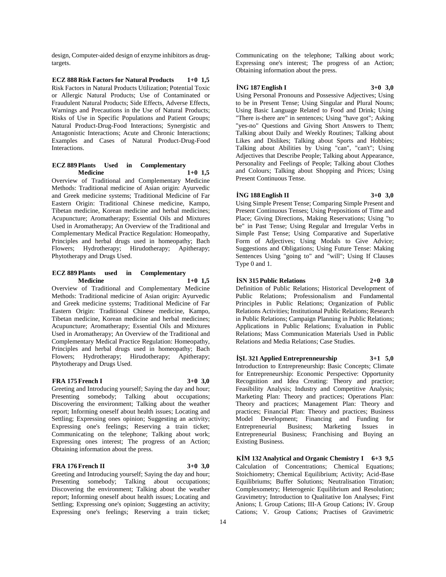design, Computer-aided design of enzyme inhibitors as drugtargets.

**ECZ 888 Risk Factors for Natural Products 1+0 1,5** Risk Factors in Natural Products Utilization; Potential Toxic or Allergic Natural Products; Use of Contaminated or Fraudulent Natural Products; Side Effects, Adverse Effects, Warnings and Precautions in the Use of Natural Products; Risks of Use in Specific Populations and Patient Groups; Natural Product-Drug-Food Interactions; Synergistic and Antagonistic Interactions; Acute and Chronic Interactions; Examples and Cases of Natural Product-Drug-Food Interactions.

#### **ECZ 889 Plants Used in Complementary Medicine 1+0 1,5**

Overview of Traditional and Complementary Medicine Methods: Traditional medicine of Asian origin: Ayurvedic and Greek medicine systems; Traditional Medicine of Far Eastern Origin: Traditional Chinese medicine, Kampo, Tibetan medicine, Korean medicine and herbal medicines; Acupuncture; Aromatherapy; Essential Oils and Mixtures Used in Aromatherapy; An Overview of the Traditional and Complementary Medical Practice Regulation: Homeopathy, Principles and herbal drugs used in homeopathy; Bach Flowers; Hydrotherapy; Hirudotherapy; Apitherapy; Phytotherapy and Drugs Used.

#### **ECZ 889 Plants used in Complementary Medicine 1+0 1,5**

Overview of Traditional and Complementary Medicine Methods: Traditional medicine of Asian origin: Ayurvedic and Greek medicine systems; Traditional Medicine of Far Eastern Origin: Traditional Chinese medicine, Kampo, Tibetan medicine, Korean medicine and herbal medicines; Acupuncture; Aromatherapy; Essential Oils and Mixtures Used in Aromatherapy; An Overview of the Traditional and Complementary Medical Practice Regulation: Homeopathy, Principles and herbal drugs used in homeopathy; Bach Flowers; Hydrotherapy; Hirudotherapy; Apitherapy; Phytotherapy and Drugs Used.

#### **FRA 175 French I 3+0 3,0**

Greeting and Introducing yourself; Saying the day and hour; Presenting somebody; Talking about occupations; Discovering the environment; Talking about the weather report; Informing oneself about health issues; Locating and Settling; Expressing ones opinion; Suggesting an activity; Expressing one's feelings; Reserving a train ticket; Communicating on the telephone; Talking about work; Expressing ones interest; The progress of an Action; Obtaining information about the press.

#### **FRA 176 French II 3+0 3,0**

Greeting and Introducing yourself; Saying the day and hour; Presenting somebody; Talking about occupations; Discovering the environment; Talking about the weather report; Informing oneself about health issues; Locating and Settling; Expressing one's opinion; Suggesting an activity; Expressing one's feelings; Reserving a train ticket;

Communicating on the telephone; Talking about work; Expressing one's interest; The progress of an Action; Obtaining information about the press.

#### **İNG 187 English I 3+0 3,0**

Using Personal Pronouns and Possessive Adjectives; Using to be in Present Tense; Using Singular and Plural Nouns; Using Basic Language Related to Food and Drink; Using "There is-there are" in sentences; Using "have got"; Asking "yes-no" Questions and Giving Short Answers to Them; Talking about Daily and Weekly Routines; Talking about Likes and Dislikes; Talking about Sports and Hobbies; Talking about Abilities by Using "can", "can't"; Using Adjectives that Describe People; Talking about Appearance, Personality and Feelings of People; Talking about Clothes and Colours; Talking about Shopping and Prices; Using Present Continuous Tense.

#### **İNG 188 English II 3+0 3,0**

Using Simple Present Tense; Comparing Simple Present and Present Continuous Tenses; Using Prepositions of Time and Place; Giving Directions, Making Reservations; Using "to be" in Past Tense; Using Regular and Irregular Verbs in Simple Past Tense; Using Comparative and Superlative Form of Adjectives; Using Modals to Give Advice; Suggestions and Obligations; Using Future Tense: Making Sentences Using "going to" and "will"; Using If Clauses Type 0 and 1.

#### **İSN 315 Public Relations 2+0 3,0**

Definition of Public Relations; Historical Development of Public Relations; Professionalism and Fundamental Principles in Public Relations; Organization of Public Relations Activities; Institutional Public Relations; Research in Public Relations; Campaign Planning in Public Relations; Applications in Public Relations; Evaluation in Public Relations; Mass Communication Materials Used in Public Relations and Media Relations; Case Studies.

**İŞL 321 Applied Entreprenneurship 3+1 5,0** Introduction to Entrepreneurship: Basic Concepts; Climate for Entrepreneurship: Economic Perspective: Opportunity Recognition and Idea Creating: Theory and practice; Feasibility Analysis; Industry and Competitive Analysis; Marketing Plan: Theory and practices; Operations Plan: Theory and practices; Management Plan: Theory and practices; Financial Plan: Theory and practices; Business Model Development; Financing and Funding for Entrepreneurial Business; Marketing Issues in Entrepreneurial Business; Franchising and Buying an Existing Business.

**KİM 132 Analytical and Organic Chemistry I 6+3 9,5** Calculation of Concentrations; Chemical Equations; Stoichiometry; Chemical Equilibrium; Activity; Acid-Base Equilibriums; Buffer Solutions; Neutralisation Titration; Complexometry; Heterogenic Equilibrium and Resolution; Gravimetry; Introduction to Qualitative Ion Analyses; First Anions; I. Group Cations; III-A Group Cations; IV. Group Cations; V. Group Cations; Practises of Gravimetric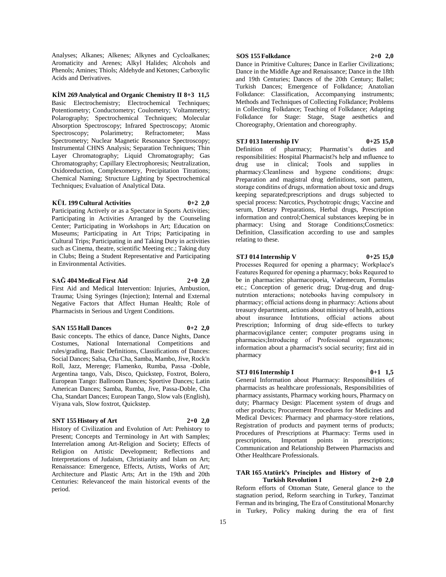Analyses; Alkanes; Alkenes; Alkynes and Cycloalkanes; Aromaticity and Arenes; Alkyl Halides; Alcohols and Phenols; Amines; Thiols; Aldehyde and Ketones; Carboxylic Acids and Derivatives.

**KİM 269 Analytical and Organic Chemistry II 8+3 11,5** Basic Electrochemistry; Electrochemical Techniques; Potentiometry; Conductometry; Coulometry; Voltammetry; Polarography; Spectrochemical Techniques; Molecular Absorption Spectroscopy; Infrared Spectroscopy; Atomic Spectroscopy; Polarimetry; Refractometer; Mass Spectrometry; Nuclear Magnetic Resonance Spectroscopy; Instrumental CHNS Analysis; Separation Techniques; Thin Layer Chromatography; Liquid Chromatography; Gas Chromatography; Capillary Electrophoresis; Neutralization, Oxidoreduction, Complexometry, Precipitation Titrations; Chemical Naming; Structure Lighting by Spectrochemical Techniques; Evaluation of Analytical Data.

#### **KÜL 199 Cultural Activities 0+2 2,0**

Participating Actively or as a Spectator in Sports Activities; Participating in Activities Arranged by the Counseling Center; Participating in Workshops in Art; Education on Museums; Participating in Art Trips; Participating in Cultural Trips; Participating in and Taking Duty in activities such as Cinema, theatre, scientific Meeting etc.; Taking duty in Clubs; Being a Student Representative and Participating in Environmental Activities.

#### **SAĞ 404 Medical First Aid 2+0 2,0**

First Aid and Medical Intervention: Injuries, Ambustion, Trauma; Using Syringes (Injection); Internal and External Negative Factors that Affect Human Health; Role of Pharmacists in Serious and Urgent Conditions.

#### **SAN 155 Hall Dances 0+2 2,0**

Basic concepts. The ethics of dance, Dance Nights, Dance Costumes, National International Competitions and rules/grading, Basic Definitions, Classifications of Dances: Social Dances; Salsa, Cha Cha, Samba, Mambo, Jive, Rock'n Roll, Jazz, Merenge; Flamenko, Rumba, Passa -Doble, Argentina tango, Vals, Disco, Quickstep, Foxtrot, Bolero, European Tango: Ballroom Dances; Sportive Dances; Latin American Dances; Samba, Rumba, Jive, Passa-Doble, Cha Cha, Standart Dances; European Tango, Slow vals (English), Viyana vals, Slow foxtrot, Quickstep.

#### **SNT 155 History of Art 2+0 2,0**

History of Civilization and Evolution of Art: Prehistory to Present; Concepts and Terminology in Art with Samples; Interrelation among Art-Religion and Society; Effects of Religion on Artistic Development; Reflections and Interpretations of Judaism, Christianity and Islam on Art; Renaissance: Emergence, Effects, Artists, Works of Art; Architecture and Plastic Arts; Art in the 19th and 20th Centuries: Relevanceof the main historical events of the period.

#### **SOS 155 Folkdance 2+0 2,0**

Dance in Primitive Cultures; Dance in Earlier Civilizations; Dance in the Middle Age and Renaissance; Dance in the 18th and 19th Centuries; Dances of the 20th Century; Ballet; Turkish Dances; Emergence of Folkdance; Anatolian Folkdance: Classification, Accompanying instruments; Methods and Techniques of Collecting Folkdance; Problems in Collecting Folkdance; Teaching of Folkdance; Adapting Folkdance for Stage: Stage, Stage aesthetics and Choreography, Orientation and choreography.

**STJ 013 Internship IV 0+25 15,0** Definition of pharmacy; Pharmatist's duties and responsibilities: Hospital Pharmacist?s help and ınfluence to drug use in clinical; Tools and supplies in pharmacy:Cleanliness and hygıene conditions; drugs: Preparation and magistral drug definitions, sort pattern, storage conditins of drugs, ınformation about toxic and drugs keeping separated;prescriptions and drugs subjected to special process: Narcotics, Psychotropic drugs; Vaccine and serum, Dietary Preparations, Herbal drugs, Prescription information and control;Chemical substances keeping be in pharmacy: Using and Storage Conditions;Cosmetics: Definition, Classification according to use and samples relating to these.

### **STJ 014 Internship V 0+25 15,0**

Processes Requıred for opening a pharmacy; Workplace's Features Requıred for opening a pharmacy; boks Requıred to be in pharmacies: pharmacopoeia, Vademecum, Formulas etc.; Conception of generic drug; Drug-drug and drugnutrıtion ınteractions; notebooks having compulsory in pharmacy; official actions doıng in pharmacy: Actions about treasury department, actions about ministry of health, actions about insurance İntıtutions, official actions about Prescription; Informing of drug side-effects to turkey pharmacovigilance center; computer programs using in pharmacies;Introducing of Professional organızatıons; information about a pharmacist's social security; first aid in pharmacy

# **STJ 016 Internship I 0+1 1,5**

General Information about Pharmacy: Responsibilities of pharmacists as healthcare professionals, Responsibilities of pharmacy assistants, Pharmacy working hours, Pharmacy on duty; Pharmacy Design: Placement system of drugs and other products; Procurement Procedures for Medicines and Medical Devices: Pharmacy and pharmacy-store relations, Registration of products and payment terms of products; Procedures of Prescriptions at Pharmacy: Terms used in prescriptions, Important points in prescriptions; Communication and Relationship Between Pharmacists and Other Healthcare Professionals.

#### **TAR 165 Atatürk's Principles and History of Turkish Revolution I 2+0 2,0**

Reform efforts of Ottoman State, General glance to the stagnation period, Reform searching in Turkey, Tanzimat Ferman and its bringing, The Era of Constitutional Monarchy in Turkey, Policy making during the era of first